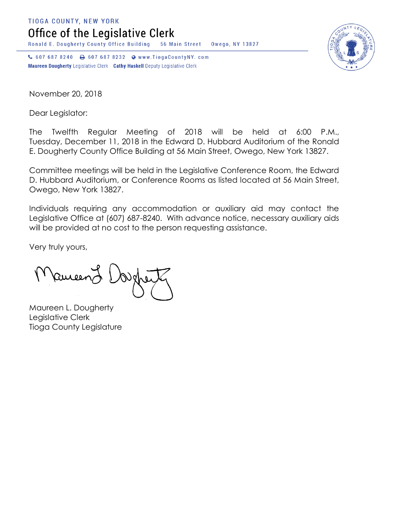**TIOGA COUNTY, NEW YORK** 

Office of the Legislative Clerk

Ronald E. Dougherty County Office Building 56 Main Street Owego, NY 13827

↓ 607 687 8240 → 607 687 8232 → www.TiogaCountyNY.com Maureen Dougherty Legislative Clerk Cathy Haskell Deputy Legislative Clerk

November 20, 2018

Dear Legislator:

The Twelfth Regular Meeting of 2018 will be held at 6:00 P.M., Tuesday, December 11, 2018 in the Edward D. Hubbard Auditorium of the Ronald E. Dougherty County Office Building at 56 Main Street, Owego, New York 13827.

Committee meetings will be held in the Legislative Conference Room, the Edward D. Hubbard Auditorium, or Conference Rooms as listed located at 56 Main Street, Owego, New York 13827.

Individuals requiring any accommodation or auxiliary aid may contact the Legislative Office at (607) 687-8240. With advance notice, necessary auxiliary aids will be provided at no cost to the person requesting assistance.

Very truly yours,

Ruceen

Maureen L. Dougherty Legislative Clerk Tioga County Legislature